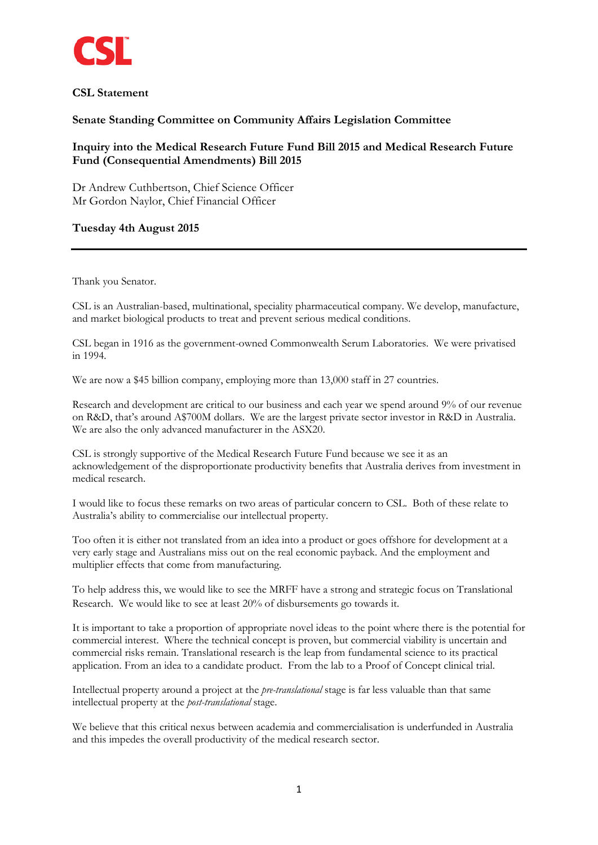

## **CSL Statement**

## **Senate Standing Committee on Community Affairs Legislation Committee**

# **Inquiry into the Medical Research Future Fund Bill 2015 and Medical Research Future Fund (Consequential Amendments) Bill 2015**

Dr Andrew Cuthbertson, Chief Science Officer Mr Gordon Naylor, Chief Financial Officer

## **Tuesday 4th August 2015**

Thank you Senator.

CSL is an Australian-based, multinational, speciality pharmaceutical company. We develop, manufacture, and market biological products to treat and prevent serious medical conditions.

CSL began in 1916 as the government-owned Commonwealth Serum Laboratories. We were privatised in 1994.

We are now a \$45 billion company, employing more than 13,000 staff in 27 countries.

Research and development are critical to our business and each year we spend around 9% of our revenue on R&D, that's around A\$700M dollars. We are the largest private sector investor in R&D in Australia. We are also the only advanced manufacturer in the ASX20.

CSL is strongly supportive of the Medical Research Future Fund because we see it as an acknowledgement of the disproportionate productivity benefits that Australia derives from investment in medical research.

I would like to focus these remarks on two areas of particular concern to CSL. Both of these relate to Australia's ability to commercialise our intellectual property.

Too often it is either not translated from an idea into a product or goes offshore for development at a very early stage and Australians miss out on the real economic payback. And the employment and multiplier effects that come from manufacturing.

To help address this, we would like to see the MRFF have a strong and strategic focus on Translational Research. We would like to see at least 20% of disbursements go towards it.

It is important to take a proportion of appropriate novel ideas to the point where there is the potential for commercial interest. Where the technical concept is proven, but commercial viability is uncertain and commercial risks remain. Translational research is the leap from fundamental science to its practical application. From an idea to a candidate product. From the lab to a Proof of Concept clinical trial.

Intellectual property around a project at the *pre-translational* stage is far less valuable than that same intellectual property at the *post-translational* stage.

We believe that this critical nexus between academia and commercialisation is underfunded in Australia and this impedes the overall productivity of the medical research sector.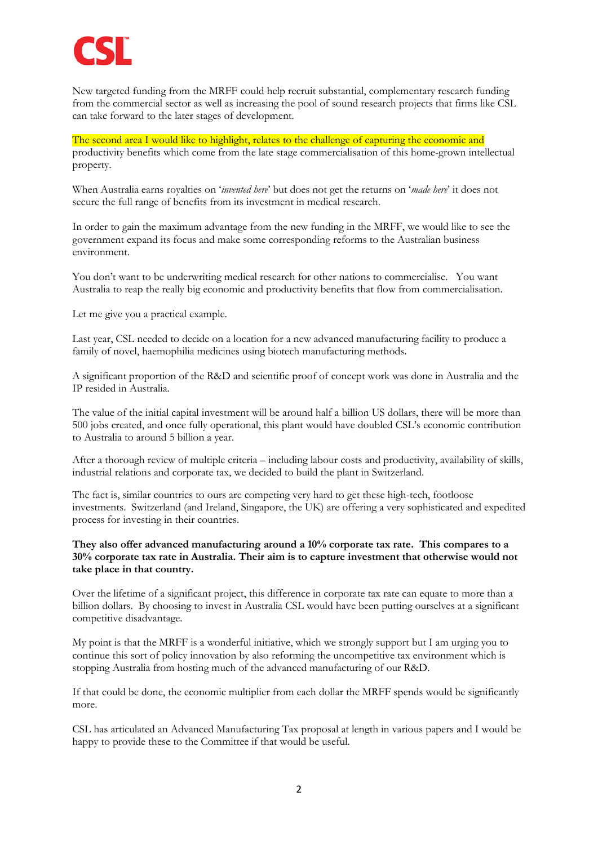

New targeted funding from the MRFF could help recruit substantial, complementary research funding from the commercial sector as well as increasing the pool of sound research projects that firms like CSL can take forward to the later stages of development.

The second area I would like to highlight, relates to the challenge of capturing the economic and productivity benefits which come from the late stage commercialisation of this home-grown intellectual property.

When Australia earns royalties on '*invented here*' but does not get the returns on '*made here*' it does not secure the full range of benefits from its investment in medical research.

In order to gain the maximum advantage from the new funding in the MRFF, we would like to see the government expand its focus and make some corresponding reforms to the Australian business environment.

You don't want to be underwriting medical research for other nations to commercialise. You want Australia to reap the really big economic and productivity benefits that flow from commercialisation.

Let me give you a practical example.

Last year, CSL needed to decide on a location for a new advanced manufacturing facility to produce a family of novel, haemophilia medicines using biotech manufacturing methods.

A significant proportion of the R&D and scientific proof of concept work was done in Australia and the IP resided in Australia.

The value of the initial capital investment will be around half a billion US dollars, there will be more than 500 jobs created, and once fully operational, this plant would have doubled CSL's economic contribution to Australia to around 5 billion a year.

After a thorough review of multiple criteria – including labour costs and productivity, availability of skills, industrial relations and corporate tax, we decided to build the plant in Switzerland.

The fact is, similar countries to ours are competing very hard to get these high-tech, footloose investments. Switzerland (and Ireland, Singapore, the UK) are offering a very sophisticated and expedited process for investing in their countries.

#### **They also offer advanced manufacturing around a 10% corporate tax rate. This compares to a 30% corporate tax rate in Australia. Their aim is to capture investment that otherwise would not take place in that country.**

Over the lifetime of a significant project, this difference in corporate tax rate can equate to more than a billion dollars. By choosing to invest in Australia CSL would have been putting ourselves at a significant competitive disadvantage.

My point is that the MRFF is a wonderful initiative, which we strongly support but I am urging you to continue this sort of policy innovation by also reforming the uncompetitive tax environment which is stopping Australia from hosting much of the advanced manufacturing of our R&D.

If that could be done, the economic multiplier from each dollar the MRFF spends would be significantly more.

CSL has articulated an Advanced Manufacturing Tax proposal at length in various papers and I would be happy to provide these to the Committee if that would be useful.